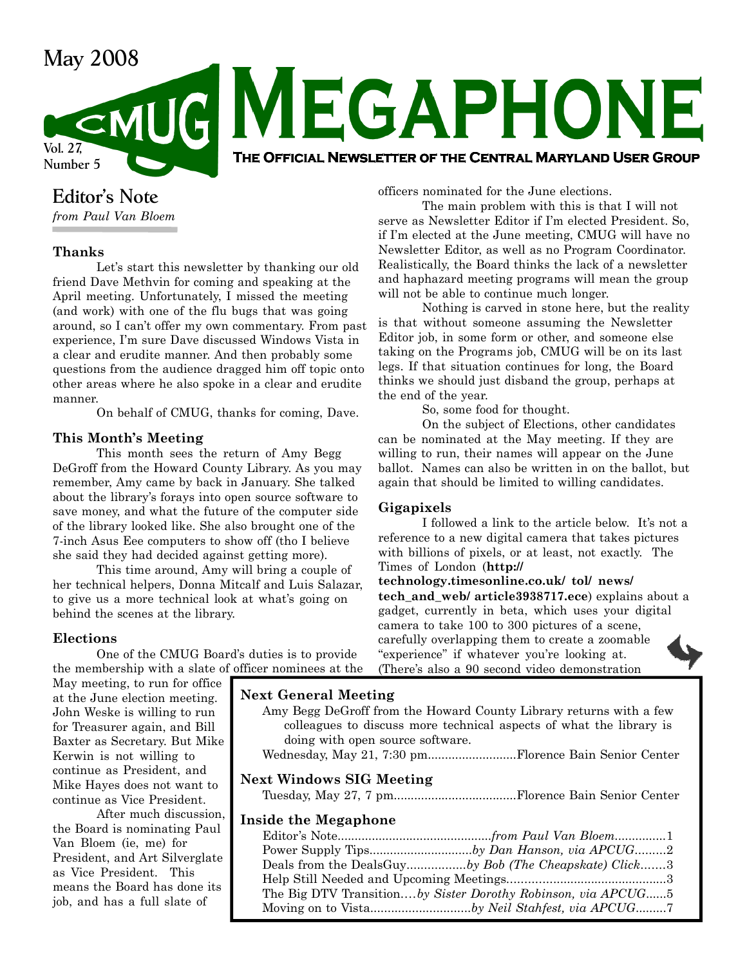# May 2008<br>CEMUG MEGAPHONE Vol. 27, Number 5 The Official Newsletter of the Central Maryland User Group

# Editor's Note

from Paul Van Bloem

# Thanks

Let's start this newsletter by thanking our old friend Dave Methvin for coming and speaking at the April meeting. Unfortunately, I missed the meeting (and work) with one of the flu bugs that was going around, so I can't offer my own commentary. From past experience, I'm sure Dave discussed Windows Vista in a clear and erudite manner. And then probably some questions from the audience dragged him off topic onto other areas where he also spoke in a clear and erudite manner.

On behalf of CMUG, thanks for coming, Dave.

### This Month's Meeting

This month sees the return of Amy Begg DeGroff from the Howard County Library. As you may remember, Amy came by back in January. She talked about the library's forays into open source software to save money, and what the future of the computer side of the library looked like. She also brought one of the 7-inch Asus Eee computers to show off (tho I believe she said they had decided against getting more).

This time around, Amy will bring a couple of her technical helpers, Donna Mitcalf and Luis Salazar, to give us a more technical look at what's going on behind the scenes at the library.

# Elections

One of the CMUG Board's duties is to provide the membership with a slate of officer nominees at the

May meeting, to run for office at the June election meeting. John Weske is willing to run for Treasurer again, and Bill Baxter as Secretary. But Mike Kerwin is not willing to continue as President, and Mike Hayes does not want to continue as Vice President.

After much discussion, the Board is nominating Paul Van Bloem (ie, me) for President, and Art Silverglate as Vice President. This means the Board has done its job, and has a full slate of

officers nominated for the June elections.

The main problem with this is that I will not serve as Newsletter Editor if I'm elected President. So, if I'm elected at the June meeting, CMUG will have no Newsletter Editor, as well as no Program Coordinator. Realistically, the Board thinks the lack of a newsletter and haphazard meeting programs will mean the group will not be able to continue much longer.

Nothing is carved in stone here, but the reality is that without someone assuming the Newsletter Editor job, in some form or other, and someone else taking on the Programs job, CMUG will be on its last legs. If that situation continues for long, the Board thinks we should just disband the group, perhaps at the end of the year.

So, some food for thought.

On the subject of Elections, other candidates can be nominated at the May meeting. If they are willing to run, their names will appear on the June ballot. Names can also be written in on the ballot, but again that should be limited to willing candidates.

### Gigapixels

I followed a link to the article below. It's not a reference to a new digital camera that takes pictures with billions of pixels, or at least, not exactly. The Times of London (http://

technology.timesonline.co.uk/ tol/ news/ tech\_and\_web/ article3938717.ece) explains about a gadget, currently in beta, which uses your digital camera to take 100 to 300 pictures of a scene, carefully overlapping them to create a zoomable "experience" if whatever you're looking at. (There's also a 90 second video demonstration

# Next General Meeting

| Amy Begg DeGroff from the Howard County Library returns with a few  |  |  |  |  |
|---------------------------------------------------------------------|--|--|--|--|
| colleagues to discuss more technical aspects of what the library is |  |  |  |  |
| doing with open source software.                                    |  |  |  |  |
|                                                                     |  |  |  |  |
| <b>Next Windows SIG Meeting</b>                                     |  |  |  |  |

### Inside the Megaphone

| Power Supply Tipsby Dan Hanson, via APCUG2                   |  |
|--------------------------------------------------------------|--|
| Deals from the DealsGuyby Bob (The Cheapskate) Click3        |  |
|                                                              |  |
| The Big DTV Transitionby Sister Dorothy Robinson, via APCUG5 |  |
| Moving on to Vistaby Neil Stahfest, via APCUG                |  |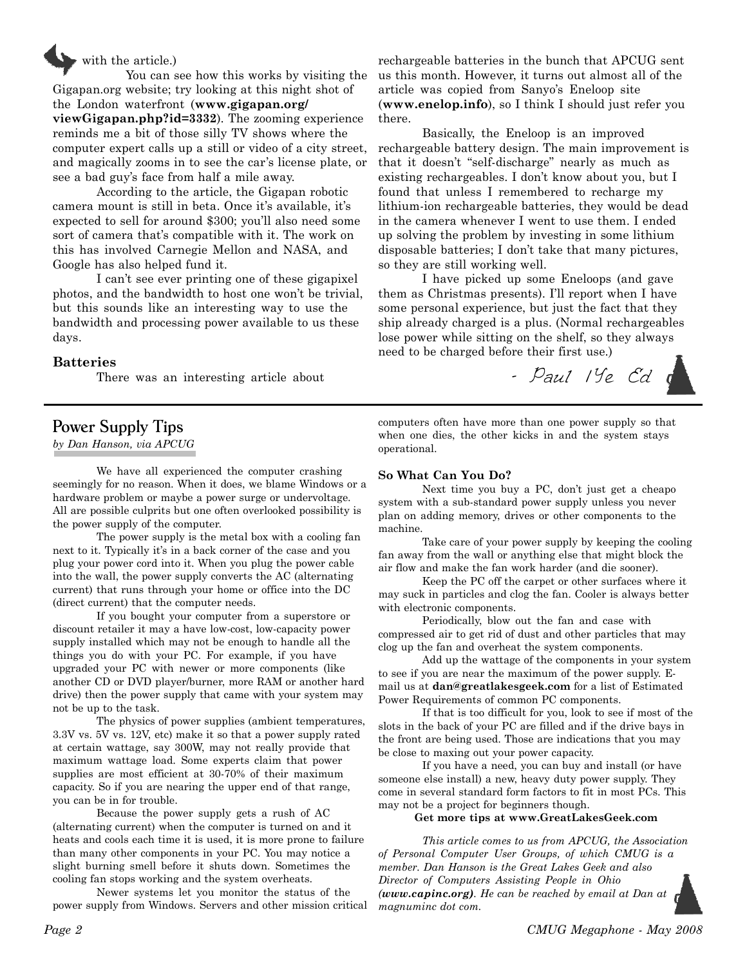

You can see how this works by visiting the Gigapan.org website; try looking at this night shot of the London waterfront (www.gigapan.org/ viewGigapan.php?id=3332). The zooming experience reminds me a bit of those silly TV shows where the computer expert calls up a still or video of a city street, and magically zooms in to see the car's license plate, or see a bad guy's face from half a mile away.

According to the article, the Gigapan robotic camera mount is still in beta. Once it's available, it's expected to sell for around \$300; you'll also need some sort of camera that's compatible with it. The work on this has involved Carnegie Mellon and NASA, and Google has also helped fund it.

I can't see ever printing one of these gigapixel photos, and the bandwidth to host one won't be trivial, but this sounds like an interesting way to use the bandwidth and processing power available to us these days.

### Batteries

There was an interesting article about

# Power Supply Tips

by Dan Hanson, via APCUG

We have all experienced the computer crashing seemingly for no reason. When it does, we blame Windows or a hardware problem or maybe a power surge or undervoltage. All are possible culprits but one often overlooked possibility is the power supply of the computer.

The power supply is the metal box with a cooling fan next to it. Typically it's in a back corner of the case and you plug your power cord into it. When you plug the power cable into the wall, the power supply converts the AC (alternating current) that runs through your home or office into the DC (direct current) that the computer needs.

If you bought your computer from a superstore or discount retailer it may a have low-cost, low-capacity power supply installed which may not be enough to handle all the things you do with your PC. For example, if you have upgraded your PC with newer or more components (like another CD or DVD player/burner, more RAM or another hard drive) then the power supply that came with your system may not be up to the task.

The physics of power supplies (ambient temperatures, 3.3V vs. 5V vs. 12V, etc) make it so that a power supply rated at certain wattage, say 300W, may not really provide that maximum wattage load. Some experts claim that power supplies are most efficient at 30-70% of their maximum capacity. So if you are nearing the upper end of that range, you can be in for trouble.

Because the power supply gets a rush of AC (alternating current) when the computer is turned on and it heats and cools each time it is used, it is more prone to failure than many other components in your PC. You may notice a slight burning smell before it shuts down. Sometimes the cooling fan stops working and the system overheats.

Newer systems let you monitor the status of the power supply from Windows. Servers and other mission critical

rechargeable batteries in the bunch that APCUG sent us this month. However, it turns out almost all of the article was copied from Sanyo's Eneloop site (www.enelop.info), so I think I should just refer you there.

Basically, the Eneloop is an improved rechargeable battery design. The main improvement is that it doesn't "self-discharge" nearly as much as existing rechargeables. I don't know about you, but I found that unless I remembered to recharge my lithium-ion rechargeable batteries, they would be dead in the camera whenever I went to use them. I ended up solving the problem by investing in some lithium disposable batteries; I don't take that many pictures, so they are still working well.

I have picked up some Eneloops (and gave them as Christmas presents). I'll report when I have some personal experience, but just the fact that they ship already charged is a plus. (Normal rechargeables lose power while sitting on the shelf, so they always need to be charged before their first use.)



computers often have more than one power supply so that when one dies, the other kicks in and the system stays operational.

#### So What Can You Do?

Next time you buy a PC, don't just get a cheapo system with a sub-standard power supply unless you never plan on adding memory, drives or other components to the machine.

Take care of your power supply by keeping the cooling fan away from the wall or anything else that might block the air flow and make the fan work harder (and die sooner).

Keep the PC off the carpet or other surfaces where it may suck in particles and clog the fan. Cooler is always better with electronic components.

Periodically, blow out the fan and case with compressed air to get rid of dust and other particles that may clog up the fan and overheat the system components.

Add up the wattage of the components in your system to see if you are near the maximum of the power supply. Email us at dan@greatlakesgeek.com for a list of Estimated Power Requirements of common PC components.

If that is too difficult for you, look to see if most of the slots in the back of your PC are filled and if the drive bays in the front are being used. Those are indications that you may be close to maxing out your power capacity.

If you have a need, you can buy and install (or have someone else install) a new, heavy duty power supply. They come in several standard form factors to fit in most PCs. This may not be a project for beginners though.

#### Get more tips at www.GreatLakesGeek.com

This article comes to us from APCUG, the Association of Personal Computer User Groups, of which CMUG is a member. Dan Hanson is the Great Lakes Geek and also Director of Computers Assisting People in Ohio (www.capinc.org). He can be reached by email at Dan at magnuminc dot com.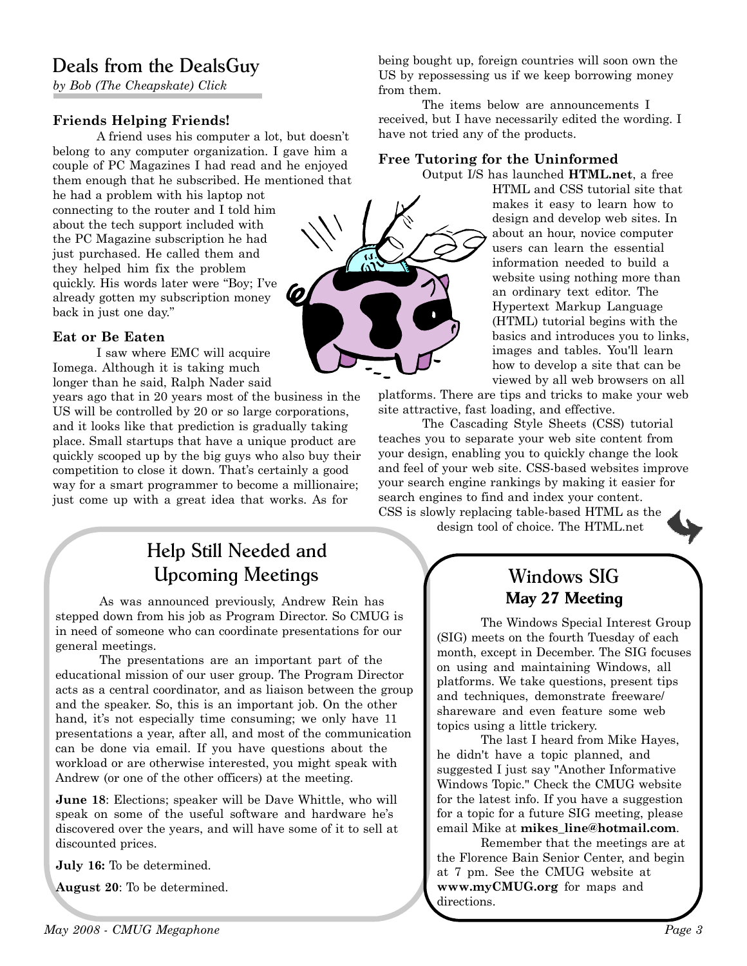# Deals from the DealsGuy

by Bob (The Cheapskate) Click

# Friends Helping Friends!

A friend uses his computer a lot, but doesn't belong to any computer organization. I gave him a couple of PC Magazines I had read and he enjoyed them enough that he subscribed. He mentioned that

he had a problem with his laptop not connecting to the router and I told him about the tech support included with the PC Magazine subscription he had just purchased. He called them and they helped him fix the problem quickly. His words later were "Boy; I've already gotten my subscription money back in just one day."

### Eat or Be Eaten

I saw where EMC will acquire Iomega. Although it is taking much longer than he said, Ralph Nader said

years ago that in 20 years most of the business in the US will be controlled by 20 or so large corporations, and it looks like that prediction is gradually taking place. Small startups that have a unique product are quickly scooped up by the big guys who also buy their competition to close it down. That's certainly a good way for a smart programmer to become a millionaire; just come up with a great idea that works. As for

# Help Still Needed and Upcoming Meetings

As was announced previously, Andrew Rein has stepped down from his job as Program Director. So CMUG is in need of someone who can coordinate presentations for our general meetings.

The presentations are an important part of the educational mission of our user group. The Program Director acts as a central coordinator, and as liaison between the group and the speaker. So, this is an important job. On the other hand, it's not especially time consuming; we only have 11 presentations a year, after all, and most of the communication can be done via email. If you have questions about the workload or are otherwise interested, you might speak with Andrew (or one of the other officers) at the meeting.

June 18: Elections; speaker will be Dave Whittle, who will speak on some of the useful software and hardware he's discovered over the years, and will have some of it to sell at discounted prices.

July 16: To be determined.

August 20: To be determined.

being bought up, foreign countries will soon own the US by repossessing us if we keep borrowing money from them.

The items below are announcements I received, but I have necessarily edited the wording. I have not tried any of the products.

### Free Tutoring for the Uninformed

Output I/S has launched HTML.net, a free

HTML and CSS tutorial site that makes it easy to learn how to design and develop web sites. In about an hour, novice computer users can learn the essential information needed to build a website using nothing more than an ordinary text editor. The Hypertext Markup Language (HTML) tutorial begins with the basics and introduces you to links, images and tables. You'll learn how to develop a site that can be viewed by all web browsers on all

platforms. There are tips and tricks to make your web site attractive, fast loading, and effective.

The Cascading Style Sheets (CSS) tutorial teaches you to separate your web site content from your design, enabling you to quickly change the look and feel of your web site. CSS-based websites improve your search engine rankings by making it easier for search engines to find and index your content. CSS is slowly replacing table-based HTML as the

design tool of choice. The HTML.net

# Windows SIG May 27 Meeting

The Windows Special Interest Group (SIG) meets on the fourth Tuesday of each month, except in December. The SIG focuses on using and maintaining Windows, all platforms. We take questions, present tips and techniques, demonstrate freeware/ shareware and even feature some web topics using a little trickery.

The last I heard from Mike Hayes, he didn't have a topic planned, and suggested I just say "Another Informative Windows Topic." Check the CMUG website for the latest info. If you have a suggestion for a topic for a future SIG meeting, please email Mike at mikes line@hotmail.com.

Remember that the meetings are at the Florence Bain Senior Center, and begin at 7 pm. See the CMUG website at www.myCMUG.org for maps and directions.

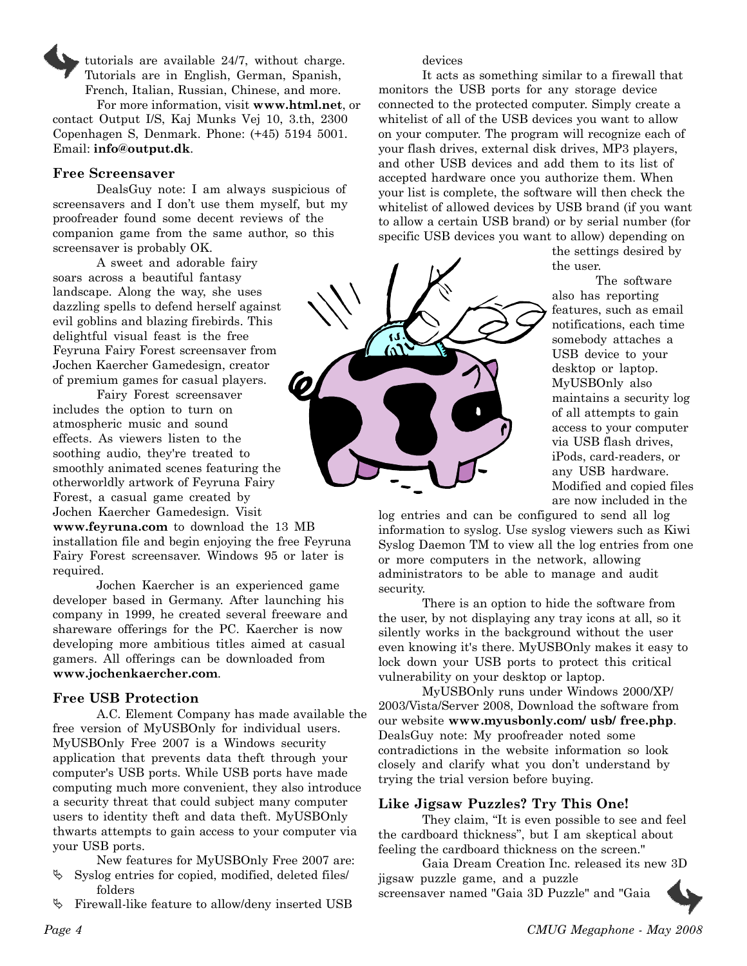tutorials are available 24/7, without charge. Tutorials are in English, German, Spanish, French, Italian, Russian, Chinese, and more. For more information, visit www.html.net, or contact Output I/S, Kaj Munks Vej 10, 3.th, 2300 Copenhagen S, Denmark. Phone: (+45) 5194 5001. Email: info@output.dk.

#### Free Screensaver

DealsGuy note: I am always suspicious of screensavers and I don't use them myself, but my proofreader found some decent reviews of the companion game from the same author, so this screensaver is probably OK.

A sweet and adorable fairy soars across a beautiful fantasy landscape. Along the way, she uses dazzling spells to defend herself against evil goblins and blazing firebirds. This delightful visual feast is the free Feyruna Fairy Forest screensaver from Jochen Kaercher Gamedesign, creator of premium games for casual players.

Fairy Forest screensaver includes the option to turn on atmospheric music and sound effects. As viewers listen to the soothing audio, they're treated to smoothly animated scenes featuring the otherworldly artwork of Feyruna Fairy Forest, a casual game created by Jochen Kaercher Gamedesign. Visit

www.feyruna.com to download the 13 MB installation file and begin enjoying the free Feyruna Fairy Forest screensaver. Windows 95 or later is required.

Jochen Kaercher is an experienced game developer based in Germany. After launching his company in 1999, he created several freeware and shareware offerings for the PC. Kaercher is now developing more ambitious titles aimed at casual gamers. All offerings can be downloaded from www.jochenkaercher.com.

#### Free USB Protection

A.C. Element Company has made available the free version of MyUSBOnly for individual users. MyUSBOnly Free 2007 is a Windows security application that prevents data theft through your computer's USB ports. While USB ports have made computing much more convenient, they also introduce a security threat that could subject many computer users to identity theft and data theft. MyUSBOnly thwarts attempts to gain access to your computer via your USB ports.

New features for MyUSBOnly Free 2007 are:

- $\mathcal{S}$  Syslog entries for copied, modified, deleted files/ folders
- Firewall-like feature to allow/deny inserted USB

devices

 $\widehat{\mathcal{M}}$ 

It acts as something similar to a firewall that monitors the USB ports for any storage device connected to the protected computer. Simply create a whitelist of all of the USB devices you want to allow on your computer. The program will recognize each of your flash drives, external disk drives, MP3 players, and other USB devices and add them to its list of accepted hardware once you authorize them. When your list is complete, the software will then check the whitelist of allowed devices by USB brand (if you want to allow a certain USB brand) or by serial number (for specific USB devices you want to allow) depending on

the settings desired by the user.

The software also has reporting features, such as email notifications, each time somebody attaches a USB device to your desktop or laptop. MyUSBOnly also maintains a security log of all attempts to gain access to your computer via USB flash drives, iPods, card-readers, or any USB hardware. Modified and copied files are now included in the

log entries and can be configured to send all log information to syslog. Use syslog viewers such as Kiwi Syslog Daemon TM to view all the log entries from one or more computers in the network, allowing administrators to be able to manage and audit security.

There is an option to hide the software from the user, by not displaying any tray icons at all, so it silently works in the background without the user even knowing it's there. MyUSBOnly makes it easy to lock down your USB ports to protect this critical vulnerability on your desktop or laptop.

MyUSBOnly runs under Windows 2000/XP/ 2003/Vista/Server 2008, Download the software from our website www.myusbonly.com/ usb/ free.php. DealsGuy note: My proofreader noted some contradictions in the website information so look closely and clarify what you don't understand by trying the trial version before buying.

#### Like Jigsaw Puzzles? Try This One!

They claim, "It is even possible to see and feel the cardboard thickness", but I am skeptical about feeling the cardboard thickness on the screen."

Gaia Dream Creation Inc. released its new 3D jigsaw puzzle game, and a puzzle screensaver named "Gaia 3D Puzzle" and "Gaia

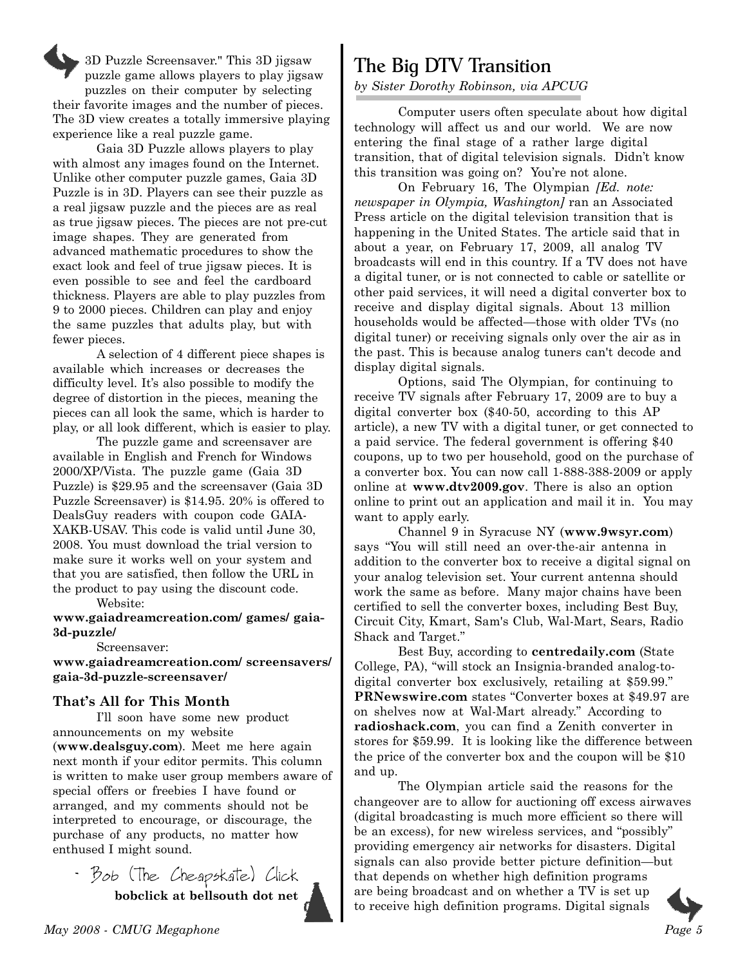3D Puzzle Screensaver." This 3D jigsaw puzzle game allows players to play jigsaw puzzles on their computer by selecting their favorite images and the number of pieces. The 3D view creates a totally immersive playing experience like a real puzzle game.

Gaia 3D Puzzle allows players to play with almost any images found on the Internet. Unlike other computer puzzle games, Gaia 3D Puzzle is in 3D. Players can see their puzzle as a real jigsaw puzzle and the pieces are as real as true jigsaw pieces. The pieces are not pre-cut image shapes. They are generated from advanced mathematic procedures to show the exact look and feel of true jigsaw pieces. It is even possible to see and feel the cardboard thickness. Players are able to play puzzles from 9 to 2000 pieces. Children can play and enjoy the same puzzles that adults play, but with fewer pieces.

A selection of 4 different piece shapes is available which increases or decreases the difficulty level. It's also possible to modify the degree of distortion in the pieces, meaning the pieces can all look the same, which is harder to play, or all look different, which is easier to play.

The puzzle game and screensaver are available in English and French for Windows 2000/XP/Vista. The puzzle game (Gaia 3D Puzzle) is \$29.95 and the screensaver (Gaia 3D Puzzle Screensaver) is \$14.95. 20% is offered to DealsGuy readers with coupon code GAIA-XAKB-USAV. This code is valid until June 30, 2008. You must download the trial version to make sure it works well on your system and that you are satisfied, then follow the URL in the product to pay using the discount code.

Website:

www.gaiadreamcreation.com/ games/ gaia-3d-puzzle/

Screensaver:

www.gaiadreamcreation.com/ screensavers/ gaia-3d-puzzle-screensaver/

### That's All for This Month

I'll soon have some new product announcements on my website (www.dealsguy.com). Meet me here again next month if your editor permits. This column is written to make user group members aware of special offers or freebies I have found or arranged, and my comments should not be interpreted to encourage, or discourage, the purchase of any products, no matter how enthused I might sound.

- Bob (The Cheapskate) Click bobclick at bellsouth dot net



by Sister Dorothy Robinson, via APCUG

Computer users often speculate about how digital technology will affect us and our world. We are now entering the final stage of a rather large digital transition, that of digital television signals. Didn't know this transition was going on? You're not alone.

On February 16, The Olympian [Ed. note: newspaper in Olympia, Washington, ran an Associated Press article on the digital television transition that is happening in the United States. The article said that in about a year, on February 17, 2009, all analog TV broadcasts will end in this country. If a TV does not have a digital tuner, or is not connected to cable or satellite or other paid services, it will need a digital converter box to receive and display digital signals. About 13 million households would be affected—those with older TVs (no digital tuner) or receiving signals only over the air as in the past. This is because analog tuners can't decode and display digital signals.

Options, said The Olympian, for continuing to receive TV signals after February 17, 2009 are to buy a digital converter box (\$40-50, according to this AP article), a new TV with a digital tuner, or get connected to a paid service. The federal government is offering \$40 coupons, up to two per household, good on the purchase of a converter box. You can now call 1-888-388-2009 or apply online at www.dtv2009.gov. There is also an option online to print out an application and mail it in. You may want to apply early.

Channel 9 in Syracuse NY (www.9wsyr.com) says "You will still need an over-the-air antenna in addition to the converter box to receive a digital signal on your analog television set. Your current antenna should work the same as before. Many major chains have been certified to sell the converter boxes, including Best Buy, Circuit City, Kmart, Sam's Club, Wal-Mart, Sears, Radio Shack and Target."

Best Buy, according to centredaily.com (State College, PA), "will stock an Insignia-branded analog-todigital converter box exclusively, retailing at \$59.99." PRNewswire.com states "Converter boxes at \$49.97 are on shelves now at Wal-Mart already." According to radioshack.com, you can find a Zenith converter in stores for \$59.99. It is looking like the difference between the price of the converter box and the coupon will be \$10 and up.

The Olympian article said the reasons for the changeover are to allow for auctioning off excess airwaves (digital broadcasting is much more efficient so there will be an excess), for new wireless services, and "possibly" providing emergency air networks for disasters. Digital signals can also provide better picture definition—but that depends on whether high definition programs are being broadcast and on whether a TV is set up to receive high definition programs. Digital signals

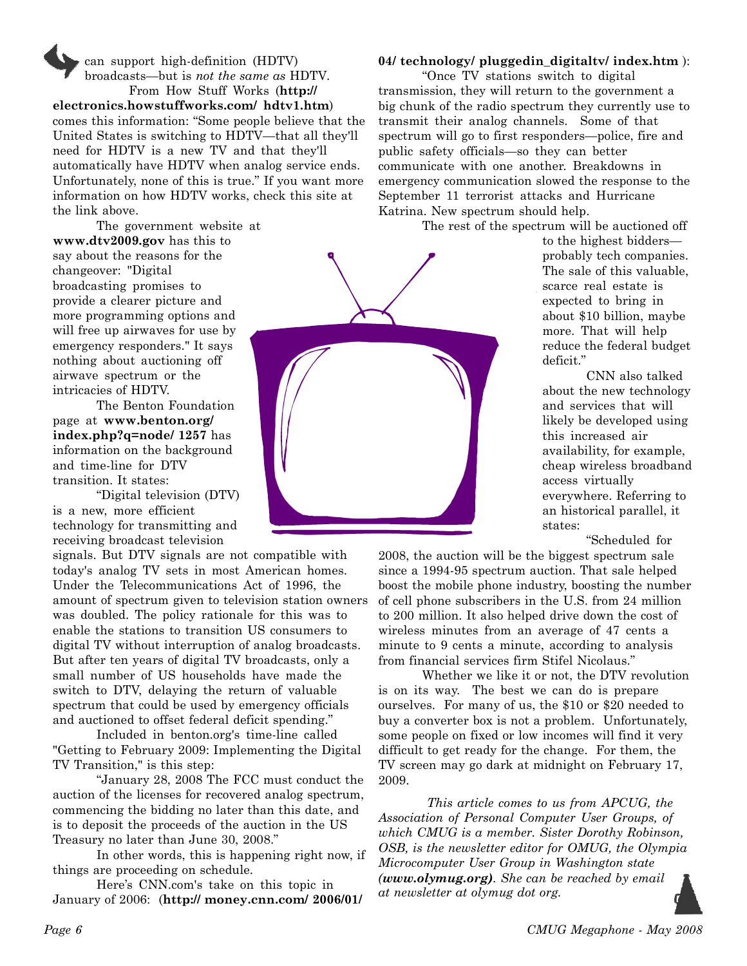can support high-definition (HDTV) broadcasts—but is not the same as HDTV. From How Stuff Works (http:// electronics.howstuffworks.com/ hdtv1.htm) comes this information: "Some people believe that the United States is switching to HDTV—that all they'll need for HDTV is a new TV and that they'll automatically have HDTV when analog service ends. Unfortunately, none of this is true." If you want more information on how HDTV works, check this site at the link above.

The government website at www.dtv2009.gov has this to say about the reasons for the changeover: "Digital broadcasting promises to provide a clearer picture and more programming options and will free up airwaves for use by emergency responders." It says nothing about auctioning off airwave spectrum or the intricacies of HDTV.

The Benton Foundation page at www.benton.org/ index.php?q=node/ 1257 has information on the background and time-line for DTV transition. It states:

"Digital television (DTV) is a new, more efficient technology for transmitting and receiving broadcast television

signals. But DTV signals are not compatible with today's analog TV sets in most American homes. Under the Telecommunications Act of 1996, the amount of spectrum given to television station owners was doubled. The policy rationale for this was to enable the stations to transition US consumers to digital TV without interruption of analog broadcasts. But after ten years of digital TV broadcasts, only a small number of US households have made the switch to DTV, delaying the return of valuable spectrum that could be used by emergency officials and auctioned to offset federal deficit spending."

Included in benton.org's time-line called "Getting to February 2009: Implementing the Digital TV Transition," is this step:

"January 28, 2008 The FCC must conduct the auction of the licenses for recovered analog spectrum, commencing the bidding no later than this date, and is to deposit the proceeds of the auction in the US Treasury no later than June 30, 2008."

In other words, this is happening right now, if things are proceeding on schedule.

Here's CNN.com's take on this topic in January of 2006: (http:// money.cnn.com/ 2006/01/

# 04/ technology/ pluggedin\_digitaltv/ index.htm ):

"Once TV stations switch to digital transmission, they will return to the government a big chunk of the radio spectrum they currently use to transmit their analog channels. Some of that spectrum will go to first responders—police, fire and public safety officials—so they can better communicate with one another. Breakdowns in emergency communication slowed the response to the September 11 terrorist attacks and Hurricane Katrina. New spectrum should help.

The rest of the spectrum will be auctioned off

to the highest bidders probably tech companies. The sale of this valuable, scarce real estate is expected to bring in about \$10 billion, maybe more. That will help reduce the federal budget deficit."

CNN also talked about the new technology and services that will likely be developed using this increased air availability, for example, cheap wireless broadband access virtually everywhere. Referring to an historical parallel, it states:

"Scheduled for

2008, the auction will be the biggest spectrum sale since a 1994-95 spectrum auction. That sale helped boost the mobile phone industry, boosting the number of cell phone subscribers in the U.S. from 24 million to 200 million. It also helped drive down the cost of wireless minutes from an average of 47 cents a minute to 9 cents a minute, according to analysis from financial services firm Stifel Nicolaus."

Whether we like it or not, the DTV revolution is on its way. The best we can do is prepare ourselves. For many of us, the \$10 or \$20 needed to buy a converter box is not a problem. Unfortunately, some people on fixed or low incomes will find it very difficult to get ready for the change. For them, the TV screen may go dark at midnight on February 17, 2009.

 This article comes to us from APCUG, the Association of Personal Computer User Groups, of which CMUG is a member. Sister Dorothy Robinson, OSB, is the newsletter editor for OMUG, the Olympia Microcomputer User Group in Washington state (www.olymug.org). She can be reached by email at newsletter at olymug dot org.

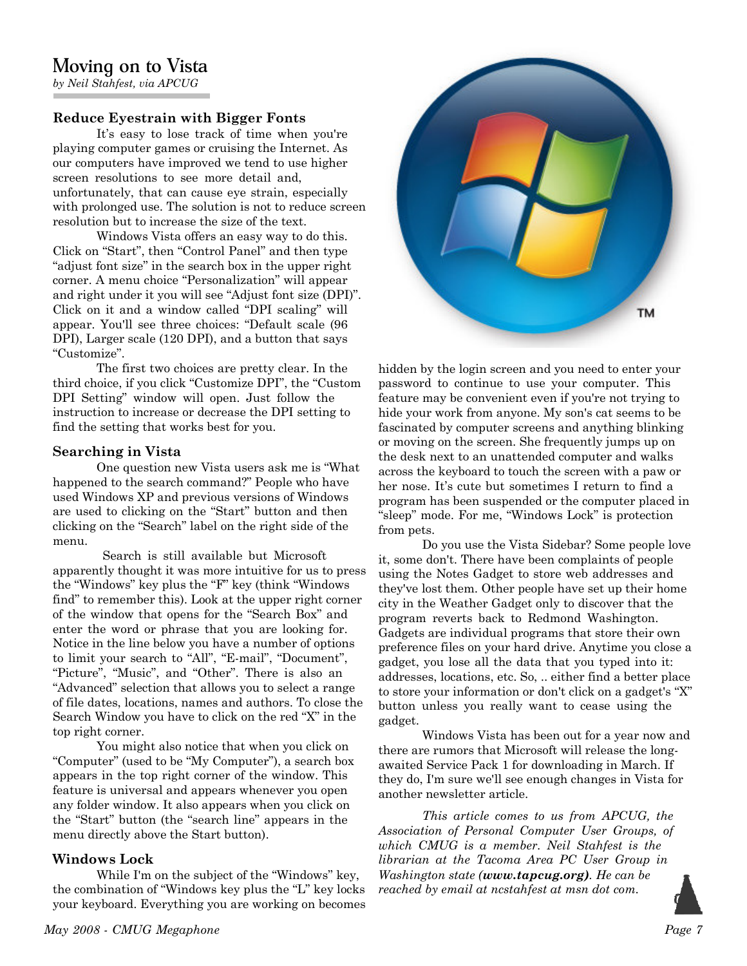# Moving on to Vista

by Neil Stahfest, via APCUG

# Reduce Eyestrain with Bigger Fonts

It's easy to lose track of time when you're playing computer games or cruising the Internet. As our computers have improved we tend to use higher screen resolutions to see more detail and, unfortunately, that can cause eye strain, especially with prolonged use. The solution is not to reduce screen resolution but to increase the size of the text.

Windows Vista offers an easy way to do this. Click on "Start", then "Control Panel" and then type "adjust font size" in the search box in the upper right corner. A menu choice "Personalization" will appear and right under it you will see "Adjust font size (DPI)". Click on it and a window called "DPI scaling" will appear. You'll see three choices: "Default scale (96 DPI), Larger scale (120 DPI), and a button that says "Customize".

The first two choices are pretty clear. In the third choice, if you click "Customize DPI", the "Custom DPI Setting" window will open. Just follow the instruction to increase or decrease the DPI setting to find the setting that works best for you.

### Searching in Vista

One question new Vista users ask me is "What happened to the search command?" People who have used Windows XP and previous versions of Windows are used to clicking on the "Start" button and then clicking on the "Search" label on the right side of the menu.

 Search is still available but Microsoft apparently thought it was more intuitive for us to press the "Windows" key plus the "F" key (think "Windows find" to remember this). Look at the upper right corner of the window that opens for the "Search Box" and enter the word or phrase that you are looking for. Notice in the line below you have a number of options to limit your search to "All", "E-mail", "Document", "Picture", "Music", and "Other". There is also an "Advanced" selection that allows you to select a range of file dates, locations, names and authors. To close the Search Window you have to click on the red "X" in the top right corner.

You might also notice that when you click on "Computer" (used to be "My Computer"), a search box appears in the top right corner of the window. This feature is universal and appears whenever you open any folder window. It also appears when you click on the "Start" button (the "search line" appears in the menu directly above the Start button).

# Windows Lock

While I'm on the subject of the "Windows" key, the combination of "Windows key plus the "L" key locks your keyboard. Everything you are working on becomes



hidden by the login screen and you need to enter your password to continue to use your computer. This feature may be convenient even if you're not trying to hide your work from anyone. My son's cat seems to be fascinated by computer screens and anything blinking or moving on the screen. She frequently jumps up on the desk next to an unattended computer and walks across the keyboard to touch the screen with a paw or her nose. It's cute but sometimes I return to find a program has been suspended or the computer placed in "sleep" mode. For me, "Windows Lock" is protection from pets.

Do you use the Vista Sidebar? Some people love it, some don't. There have been complaints of people using the Notes Gadget to store web addresses and they've lost them. Other people have set up their home city in the Weather Gadget only to discover that the program reverts back to Redmond Washington. Gadgets are individual programs that store their own preference files on your hard drive. Anytime you close a gadget, you lose all the data that you typed into it: addresses, locations, etc. So, .. either find a better place to store your information or don't click on a gadget's "X" button unless you really want to cease using the gadget.

Windows Vista has been out for a year now and there are rumors that Microsoft will release the longawaited Service Pack 1 for downloading in March. If they do, I'm sure we'll see enough changes in Vista for another newsletter article.

This article comes to us from APCUG, the Association of Personal Computer User Groups, of which CMUG is a member. Neil Stahfest is the librarian at the Tacoma Area PC User Group in Washington state (**www.tapcug.org**). He can be reached by email at ncstahfest at msn dot com.